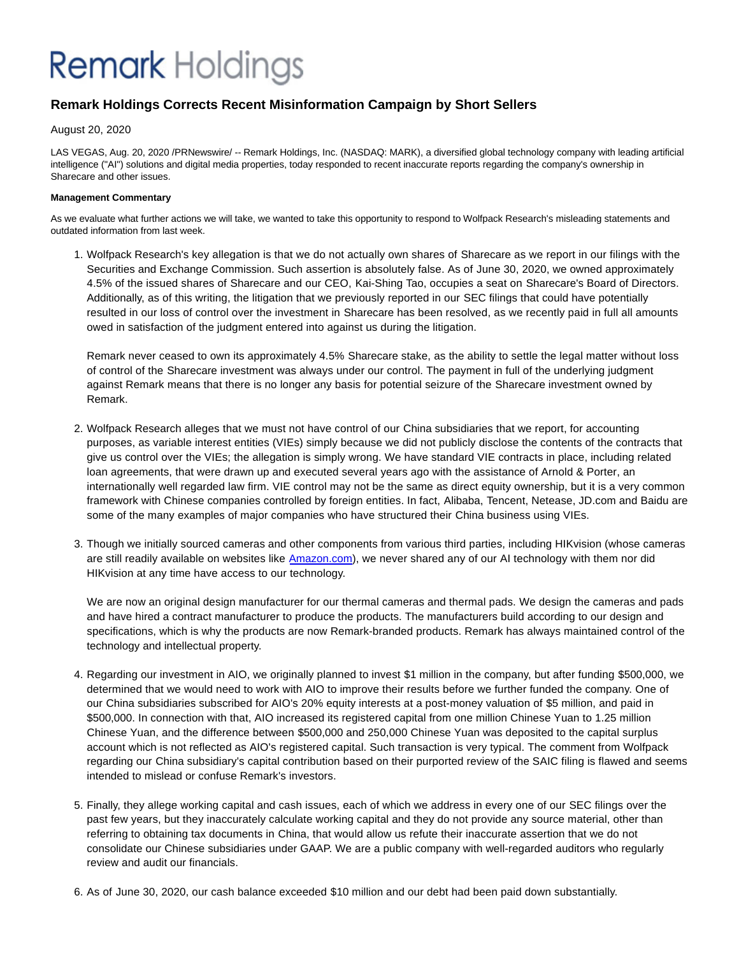## **Remark Holdings**

### **Remark Holdings Corrects Recent Misinformation Campaign by Short Sellers**

August 20, 2020

LAS VEGAS, Aug. 20, 2020 /PRNewswire/ -- Remark Holdings, Inc. (NASDAQ: MARK), a diversified global technology company with leading artificial intelligence ("AI") solutions and digital media properties, today responded to recent inaccurate reports regarding the company's ownership in Sharecare and other issues.

### **Management Commentary**

As we evaluate what further actions we will take, we wanted to take this opportunity to respond to Wolfpack Research's misleading statements and outdated information from last week.

1. Wolfpack Research's key allegation is that we do not actually own shares of Sharecare as we report in our filings with the Securities and Exchange Commission. Such assertion is absolutely false. As of June 30, 2020, we owned approximately 4.5% of the issued shares of Sharecare and our CEO, Kai-Shing Tao, occupies a seat on Sharecare's Board of Directors. Additionally, as of this writing, the litigation that we previously reported in our SEC filings that could have potentially resulted in our loss of control over the investment in Sharecare has been resolved, as we recently paid in full all amounts owed in satisfaction of the judgment entered into against us during the litigation.

Remark never ceased to own its approximately 4.5% Sharecare stake, as the ability to settle the legal matter without loss of control of the Sharecare investment was always under our control. The payment in full of the underlying judgment against Remark means that there is no longer any basis for potential seizure of the Sharecare investment owned by Remark.

- 2. Wolfpack Research alleges that we must not have control of our China subsidiaries that we report, for accounting purposes, as variable interest entities (VIEs) simply because we did not publicly disclose the contents of the contracts that give us control over the VIEs; the allegation is simply wrong. We have standard VIE contracts in place, including related loan agreements, that were drawn up and executed several years ago with the assistance of Arnold & Porter, an internationally well regarded law firm. VIE control may not be the same as direct equity ownership, but it is a very common framework with Chinese companies controlled by foreign entities. In fact, Alibaba, Tencent, Netease, JD.com and Baidu are some of the many examples of major companies who have structured their China business using VIEs.
- 3. Though we initially sourced cameras and other components from various third parties, including HIKvision (whose cameras are still readily available on websites like [Amazon.com\)](http://amazon.com/), we never shared any of our AI technology with them nor did HIKvision at any time have access to our technology.

We are now an original design manufacturer for our thermal cameras and thermal pads. We design the cameras and pads and have hired a contract manufacturer to produce the products. The manufacturers build according to our design and specifications, which is why the products are now Remark-branded products. Remark has always maintained control of the technology and intellectual property.

- 4. Regarding our investment in AIO, we originally planned to invest \$1 million in the company, but after funding \$500,000, we determined that we would need to work with AIO to improve their results before we further funded the company. One of our China subsidiaries subscribed for AIO's 20% equity interests at a post-money valuation of \$5 million, and paid in \$500,000. In connection with that, AIO increased its registered capital from one million Chinese Yuan to 1.25 million Chinese Yuan, and the difference between \$500,000 and 250,000 Chinese Yuan was deposited to the capital surplus account which is not reflected as AIO's registered capital. Such transaction is very typical. The comment from Wolfpack regarding our China subsidiary's capital contribution based on their purported review of the SAIC filing is flawed and seems intended to mislead or confuse Remark's investors.
- Finally, they allege working capital and cash issues, each of which we address in every one of our SEC filings over the 5. past few years, but they inaccurately calculate working capital and they do not provide any source material, other than referring to obtaining tax documents in China, that would allow us refute their inaccurate assertion that we do not consolidate our Chinese subsidiaries under GAAP. We are a public company with well-regarded auditors who regularly review and audit our financials.
- 6. As of June 30, 2020, our cash balance exceeded \$10 million and our debt had been paid down substantially.